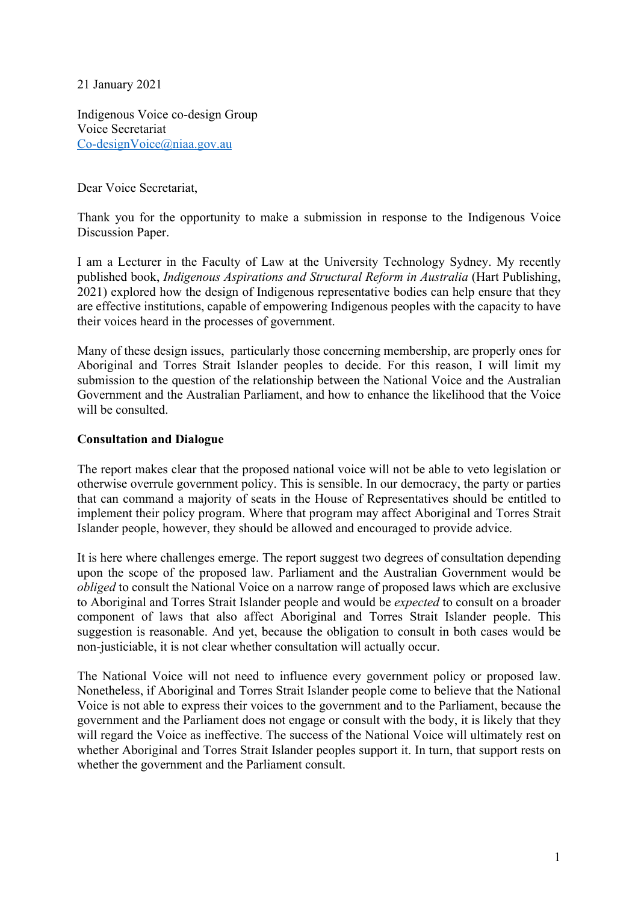21 January 2021

 Indigenous Voice co-design Group Voice Secretariat Voice Secretariat<br><u>Co-designVoice@niaa.gov.au</u><br>Dear Voice Secretariat,

 Thank you for the opportunity to make a submission in response to the Indigenous Voice Discussion Paper.

 I am a Lecturer in the Faculty of Law at the University Technology Sydney. My recently published book, *Indigenous Aspirations and Structural Reform in Australia* (Hart Publishing, 2021) explored how the design of Indigenous representative bodies can help ensure that they are effective institutions, capable of empowering Indigenous peoples with the capacity to have their voices heard in the processes of government.

 Aboriginal and Torres Strait Islander peoples to decide. For this reason, I will limit my submission to the question of the relationship between the National Voice and the Australian Government and the Australian Parliament, and how to enhance the likelihood that the Voice Many of these design issues, particularly those concerning membership, are properly ones for will be consulted.

## **Consultation and Dialogue**

 The report makes clear that the proposed national voice will not be able to veto legislation or otherwise overrule government policy. This is sensible. In our democracy, the party or parties that can command a majority of seats in the House of Representatives should be entitled to implement their policy program. Where that program may affect Aboriginal and Torres Strait Islander people, however, they should be allowed and encouraged to provide advice.

 It is here where challenges emerge. The report suggest two degrees of consultation depending upon the scope of the proposed law. Parliament and the Australian Government would be *obliged* to consult the National Voice on a narrow range of proposed laws which are exclusive to Aboriginal and Torres Strait Islander people and would be *expected* to consult on a broader component of laws that also affect Aboriginal and Torres Strait Islander people. This suggestion is reasonable. And yet, because the obligation to consult in both cases would be non-justiciable, it is not clear whether consultation will actually occur.

 The National Voice will not need to influence every government policy or proposed law. Nonetheless, if Aboriginal and Torres Strait Islander people come to believe that the National Voice is not able to express their voices to the government and to the Parliament, because the government and the Parliament does not engage or consult with the body, it is likely that they will regard the Voice as ineffective. The success of the National Voice will ultimately rest on whether Aboriginal and Torres Strait Islander peoples support it. In turn, that support rests on whether the government and the Parliament consult.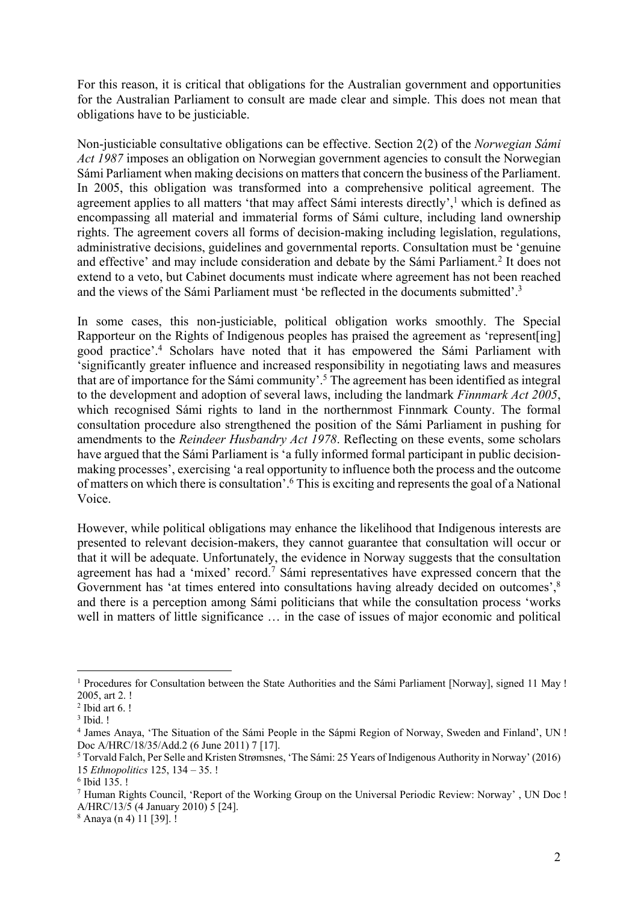For this reason, it is critical that obligations for the Australian government and opportunities for the Australian Parliament to consult are made clear and simple. This does not mean that obligations have to be justiciable.

 Non-justiciable consultative obligations can be effective. Section 2(2) of the *Norwegian Sámi Act 1987* imposes an obligation on Norwegian government agencies to consult the Norwegian Sámi Parliament when making decisions on matters that concern the business of the Parliament. In 2005, this obligation was transformed into a comprehensive political agreement. The agreement applies to all matters 'that may affect Sámi interests directly',<sup>1</sup> which is defined as encompassing all material and immaterial forms of Sámi culture, including land ownership rights. The agreement covers all forms of decision-making including legislation, regulations, administrative decisions, guidelines and governmental reports. Consultation must be 'genuine and effective' and may include consideration and debate by the Sámi Parliament.<sup>2</sup> It does not extend to a veto, but Cabinet documents must indicate where agreement has not been reached and the views of the Sámi Parliament must 'be reflected in the documents submitted'.<sup>3</sup>

 In some cases, this non-justiciable, political obligation works smoothly. The Special Rapporteur on the Rights of Indigenous peoples has praised the agreement as 'represent[ing] good practice'.4 Scholars have noted that it has empowered the Sámi Parliament with 'significantly greater influence and increased responsibility in negotiating laws and measures that are of importance for the Sámi community'.<sup>5</sup> The agreement has been identified as integral  to the development and adoption of several laws, including the landmark *Finnmark Act 2005*, which recognised Sámi rights to land in the northernmost Finnmark County. The formal consultation procedure also strengthened the position of the Sámi Parliament in pushing for amendments to the *Reindeer Husbandry Act 1978*. Reflecting on these events, some scholars have argued that the Sámi Parliament is 'a fully informed formal participant in public decision- making processes', exercising 'a real opportunity to influence both the process and the outcome of matters on which there is consultation'.<sup>6</sup> This is exciting and represents the goal of a National Voice.

 However, while political obligations may enhance the likelihood that Indigenous interests are presented to relevant decision-makers, they cannot guarantee that consultation will occur or that it will be adequate. Unfortunately, the evidence in Norway suggests that the consultation agreement has had a 'mixed' record.<sup>7</sup> Sámi representatives have expressed concern that the Government has 'at times entered into consultations having already decided on outcomes',<sup>8</sup> and there is a perception among Sámi politicians that while the consultation process 'works well in matters of little significance … in the case of issues of major economic and political

<sup>&</sup>lt;sup>1</sup> Procedures for Consultation between the State Authorities and the Sámi Parliament [Norway], signed 11 May ! 2005, art 2. !

 $<sup>2</sup>$  Ibid art 6. !</sup>

 $3$  Ibid. !

<sup>&</sup>lt;sup>4</sup> James Anaya, 'The Situation of the Sámi People in the Sápmi Region of Norway, Sweden and Finland', UN ! Doc A/HRC/18/35/Add.2 (6 June 2011) 7 [17].

 $5$  Torvald Falch, Per Selle and Kristen Strømsnes, 'The Sámi: 25 Years of Indigenous Authority in Norway' (2016)

 15 *Ethnopolitics* 125, 134 – 35. !

<sup>6</sup> Ibid 135. !

<sup>&</sup>lt;sup>7</sup> Human Rights Council, 'Report of the Working Group on the Universal Periodic Review: Norway', UN Doc! A/HRC/13/5 (4 January 2010) 5 [24].

<sup>&</sup>lt;sup>8</sup> Anaya (n 4) 11 [39]. !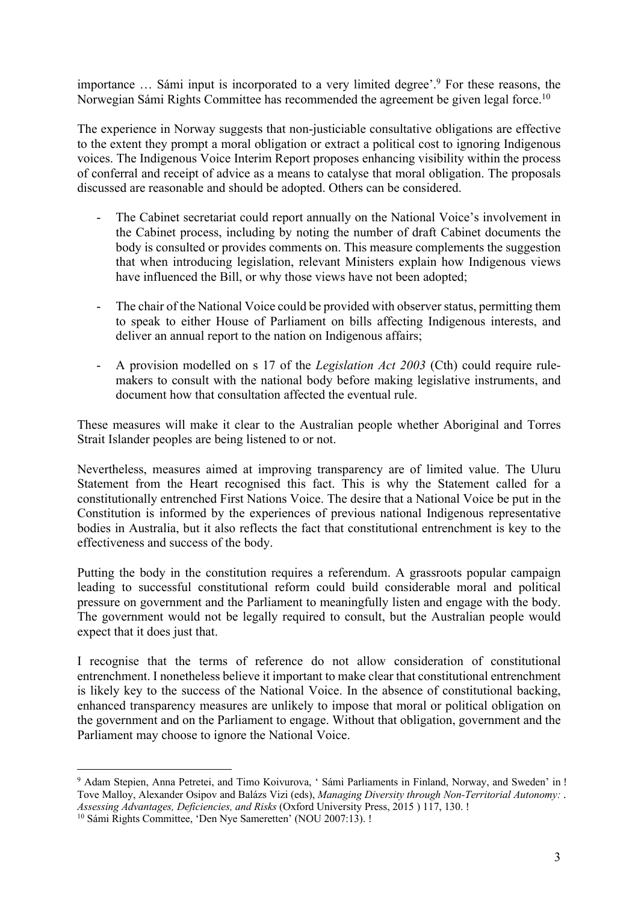importance … Sámi input is incorporated to a very limited degree'.9 For these reasons, the Norwegian Sámi Rights Committee has recommended the agreement be given legal force.<sup>10</sup>

 The experience in Norway suggests that non-justiciable consultative obligations are effective to the extent they prompt a moral obligation or extract a political cost to ignoring Indigenous voices. The Indigenous Voice Interim Report proposes enhancing visibility within the process of conferral and receipt of advice as a means to catalyse that moral obligation. The proposals discussed are reasonable and should be adopted. Others can be considered.

- - The Cabinet secretariat could report annually on the National Voice's involvement in the Cabinet process, including by noting the number of draft Cabinet documents the body is consulted or provides comments on. This measure complements the suggestion that when introducing legislation, relevant Ministers explain how Indigenous views have influenced the Bill, or why those views have not been adopted;
- - The chair of the National Voice could be provided with observer status, permitting them to speak to either House of Parliament on bills affecting Indigenous interests, and deliver an annual report to the nation on Indigenous affairs;
- - A provision modelled on s 17 of the *Legislation Act 2003* (Cth) could require rule- makers to consult with the national body before making legislative instruments, and document how that consultation affected the eventual rule.

 These measures will make it clear to the Australian people whether Aboriginal and Torres Strait Islander peoples are being listened to or not.

 Nevertheless, measures aimed at improving transparency are of limited value. The Uluru Statement from the Heart recognised this fact. This is why the Statement called for a constitutionally entrenched First Nations Voice. The desire that a National Voice be put in the Constitution is informed by the experiences of previous national Indigenous representative bodies in Australia, but it also reflects the fact that constitutional entrenchment is key to the effectiveness and success of the body.

 Putting the body in the constitution requires a referendum. A grassroots popular campaign leading to successful constitutional reform could build considerable moral and political pressure on government and the Parliament to meaningfully listen and engage with the body. The government would not be legally required to consult, but the Australian people would expect that it does just that.

 I recognise that the terms of reference do not allow consideration of constitutional entrenchment. I nonetheless believe it important to make clear that constitutional entrenchment is likely key to the success of the National Voice. In the absence of constitutional backing, enhanced transparency measures are unlikely to impose that moral or political obligation on the government and on the Parliament to engage. Without that obligation, government and the Parliament may choose to ignore the National Voice.

<sup>&</sup>lt;sup>9</sup> Adam Stepien, Anna Petretei, and Timo Koivurova, ' Sámi Parliaments in Finland, Norway, and Sweden' in! Tove Malloy, Alexander Osipov and Balázs Vizi (eds), *Managing Diversity through Non-Territorial Autonomy:* .  *Assessing Advantages, Deficiencies, and Risks* (Oxford University Press, 2015 ) 117, 130. !

<sup>&</sup>lt;sup>10</sup> Sámi Rights Committee, 'Den Nye Sameretten' (NOU 2007:13). !